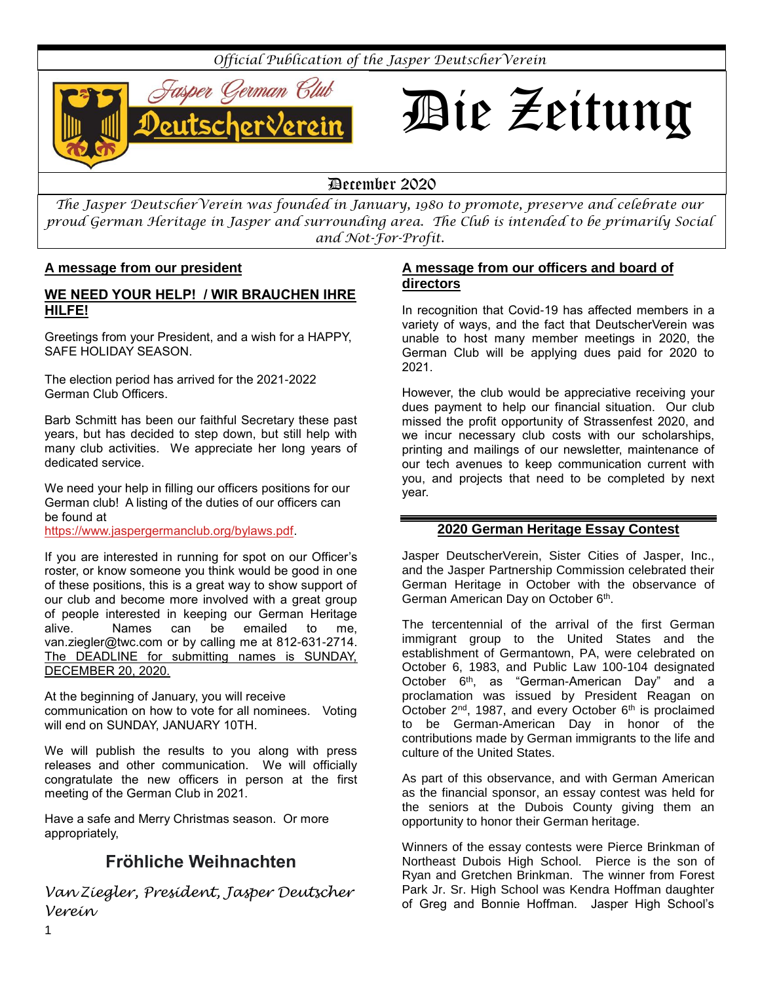*Official Publication of the Jasper DeutscherVerein*



# Die Zeitung

# December 2020

*The Jasper DeutscherVerein was founded in January, 1980 to promote, preserve and celebrate our proud German Heritage in Jasper and surrounding area. The Club is intended to be primarily Social and Not-For-Profit.*

## **A message from our president**

# **WE NEED YOUR HELP! / WIR BRAUCHEN IHRE HILFE!**

Greetings from your President, and a wish for a HAPPY, SAFE HOLIDAY SEASON.

The election period has arrived for the 2021-2022 German Club Officers.

Barb Schmitt has been our faithful Secretary these past years, but has decided to step down, but still help with many club activities. We appreciate her long years of dedicated service.

We need your help in filling our officers positions for our German club! A listing of the duties of our officers can be found at

[https://www.jaspergermanclub.org/bylaws.pdf.](https://www.jaspergermanclub.org/bylaws.pdf)

If you are interested in running for spot on our Officer's roster, or know someone you think would be good in one of these positions, this is a great way to show support of our club and become more involved with a great group of people interested in keeping our German Heritage alive. Names can be emailed to me, [van.ziegler@twc.com](mailto:van.ziegler@twc.com) or by calling me at 812-631-2714. The DEADLINE for submitting names is SUNDAY, DECEMBER 20, 2020.

At the beginning of January, you will receive communication on how to vote for all nominees. Voting will end on SUNDAY, JANUARY 10TH.

We will publish the results to you along with press releases and other communication. We will officially congratulate the new officers in person at the first meeting of the German Club in 2021.

Have a safe and Merry Christmas season. Or more appropriately,

# **Fröhliche Weihnachten**

*Van Ziegler, President, Jasper Deutscher Verein*

#### **A message from our officers and board of directors**

In recognition that Covid-19 has affected members in a variety of ways, and the fact that DeutscherVerein was unable to host many member meetings in 2020, the German Club will be applying dues paid for 2020 to 2021.

However, the club would be appreciative receiving your dues payment to help our financial situation. Our club missed the profit opportunity of Strassenfest 2020, and we incur necessary club costs with our scholarships, printing and mailings of our newsletter, maintenance of our tech avenues to keep communication current with you, and projects that need to be completed by next year.

## **2020 German Heritage Essay Contest**

Jasper DeutscherVerein, Sister Cities of Jasper, Inc., and the Jasper Partnership Commission celebrated their German Heritage in October with the observance of German American Day on October 6<sup>th</sup>.

The tercentennial of the arrival of the first German immigrant group to the United States and the establishment of Germantown, PA, were celebrated on October 6, 1983, and Public Law 100-104 designated October 6<sup>th</sup>, as "German-American Day" and a proclamation was issued by President Reagan on October  $2^{nd}$ , 1987, and every October  $6^{th}$  is proclaimed to be German-American Day in honor of the contributions made by German immigrants to the life and culture of the United States.

As part of this observance, and with German American as the financial sponsor, an essay contest was held for the seniors at the Dubois County giving them an opportunity to honor their German heritage.

Winners of the essay contests were Pierce Brinkman of Northeast Dubois High School. Pierce is the son of Ryan and Gretchen Brinkman. The winner from Forest Park Jr. Sr. High School was Kendra Hoffman daughter of Greg and Bonnie Hoffman. Jasper High School's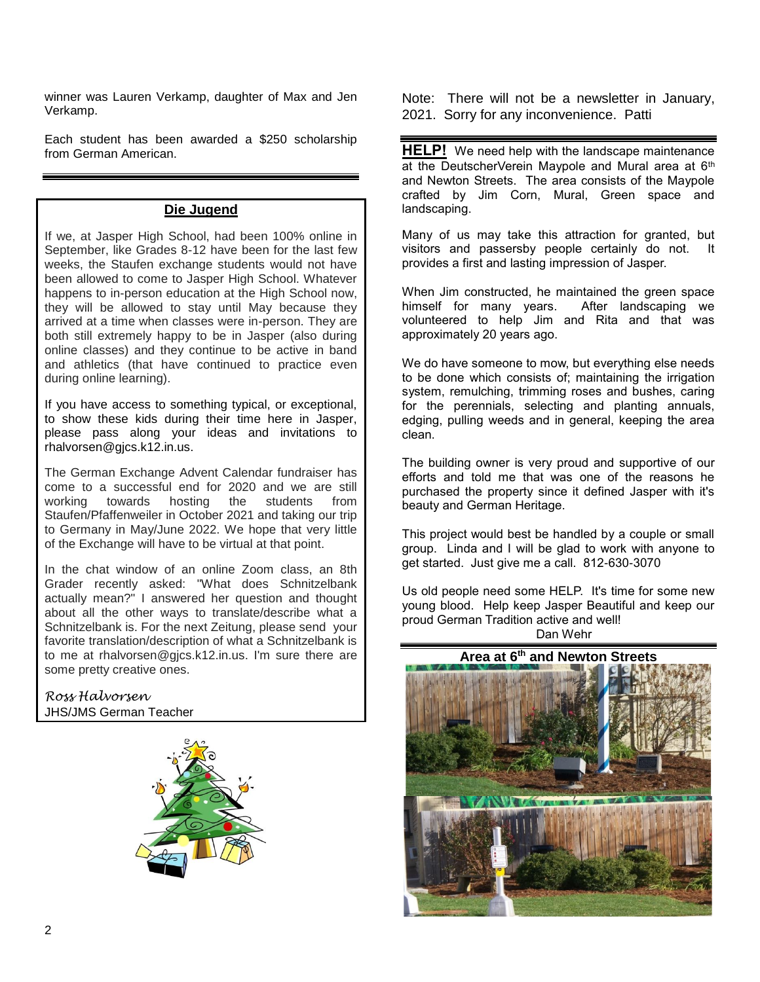winner was Lauren Verkamp, daughter of Max and Jen Verkamp.

Each student has been awarded a \$250 scholarship from German American.

# **Die Jugend**

If we, at Jasper High School, had been 100% online in September, like Grades 8-12 have been for the last few weeks, the Staufen exchange students would not have been allowed to come to Jasper High School. Whatever happens to in-person education at the High School now, they will be allowed to stay until May because they arrived at a time when classes were in-person. They are both still extremely happy to be in Jasper (also during online classes) and they continue to be active in band and athletics (that have continued to practice even during online learning).

If you have access to something typical, or exceptional, to show these kids during their time here in Jasper, please pass along your ideas and invitations to rhalvorsen@gjcs.k12.in.us.

The German Exchange Advent Calendar fundraiser has come to a successful end for 2020 and we are still working towards hosting the students from Staufen/Pfaffenweiler in October 2021 and taking our trip to Germany in May/June 2022. We hope that very little of the Exchange will have to be virtual at that point.

In the chat window of an online Zoom class, an 8th Grader recently asked: "What does Schnitzelbank actually mean?" I answered her question and thought about all the other ways to translate/describe what a Schnitzelbank is. For the next Zeitung, please send your favorite translation/description of what a Schnitzelbank is to me at rhalvorsen@gjcs.k12.in.us. I'm sure there are some pretty creative ones.

*Ross Halvorsen* JHS/JMS German Teacher



Note: There will not be a newsletter in January, 2021. Sorry for any inconvenience. Patti

**HELP!** We need help with the landscape maintenance at the DeutscherVerein Maypole and Mural area at 6<sup>th</sup> and Newton Streets. The area consists of the Maypole crafted by Jim Corn, Mural, Green space and landscaping.

Many of us may take this attraction for granted, but visitors and passersby people certainly do not. It provides a first and lasting impression of Jasper.

When Jim constructed, he maintained the green space himself for many years. After landscaping we volunteered to help Jim and Rita and that was approximately 20 years ago.

We do have someone to mow, but everything else needs to be done which consists of; maintaining the irrigation system, remulching, trimming roses and bushes, caring for the perennials, selecting and planting annuals, edging, pulling weeds and in general, keeping the area clean.

The building owner is very proud and supportive of our efforts and told me that was one of the reasons he purchased the property since it defined Jasper with it's beauty and German Heritage.

This project would best be handled by a couple or small group. Linda and I will be glad to work with anyone to get started. Just give me a call. 812-630-3070

Us old people need some HELP. It's time for some new young blood. Help keep Jasper Beautiful and keep our proud German Tradition active and well!

Dan Wehr



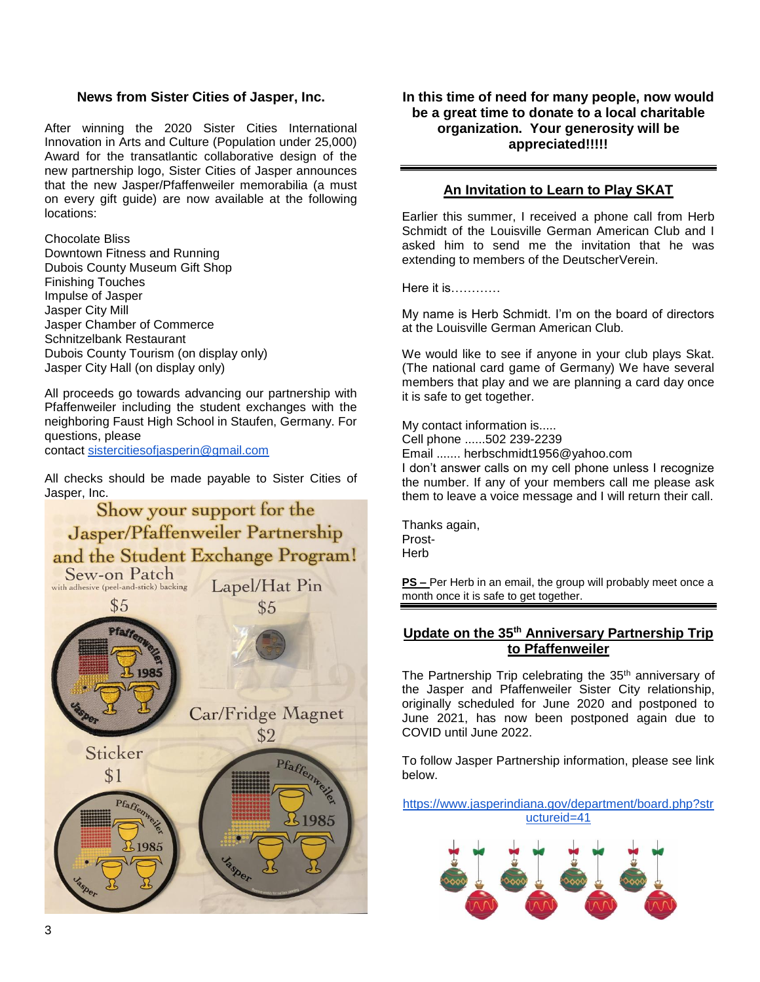#### **News from Sister Cities of Jasper, Inc.**

After winning the 2020 Sister Cities International Innovation in Arts and Culture (Population under 25,000) Award for the transatlantic collaborative design of the new partnership logo, Sister Cities of Jasper announces that the new Jasper/Pfaffenweiler memorabilia (a must on every gift guide) are now available at the following locations:

Chocolate Bliss Downtown Fitness and Running Dubois County Museum Gift Shop Finishing Touches Impulse of Jasper Jasper City Mill Jasper Chamber of Commerce Schnitzelbank Restaurant Dubois County Tourism (on display only) Jasper City Hall (on display only)

All proceeds go towards advancing our partnership with Pfaffenweiler including the student exchanges with the neighboring Faust High School in Staufen, Germany. For questions, please

contact [sistercitiesofjasperin@gmail.com](mailto:sistercitiesofjasperin@gmail.com)

All checks should be made payable to Sister Cities of



**In this time of need for many people, now would be a great time to donate to a local charitable organization. Your generosity will be appreciated!!!!!**

# **An Invitation to Learn to Play SKAT**

Earlier this summer, I received a phone call from Herb Schmidt of the Louisville German American Club and I asked him to send me the invitation that he was extending to members of the DeutscherVerein.

Here it is…………

My name is Herb Schmidt. I'm on the board of directors at the Louisville German American Club.

We would like to see if anyone in your club plays Skat. (The national card game of Germany) We have several members that play and we are planning a card day once it is safe to get together.

My contact information is..... Cell phone ......502 239-2239 Email ....... herbschmidt1956@yahoo.com I don't answer calls on my cell phone unless I recognize the number. If any of your members call me please ask them to leave a voice message and I will return their call.

Thanks again, Prost-**Herb** 

**PS –** Per Herb in an email, the group will probably meet once a month once it is safe to get together.

#### **Update on the 35th Anniversary Partnership Trip to Pfaffenweiler**

The Partnership Trip celebrating the 35<sup>th</sup> anniversary of the Jasper and Pfaffenweiler Sister City relationship, originally scheduled for June 2020 and postponed to June 2021, has now been postponed again due to COVID until June 2022.

To follow Jasper Partnership information, please see link below.

[https://www.jasperindiana.gov/department/board.php?str](https://www.jasperindiana.gov/department/board.php?structureid=41) [uctureid=41](https://www.jasperindiana.gov/department/board.php?structureid=41)

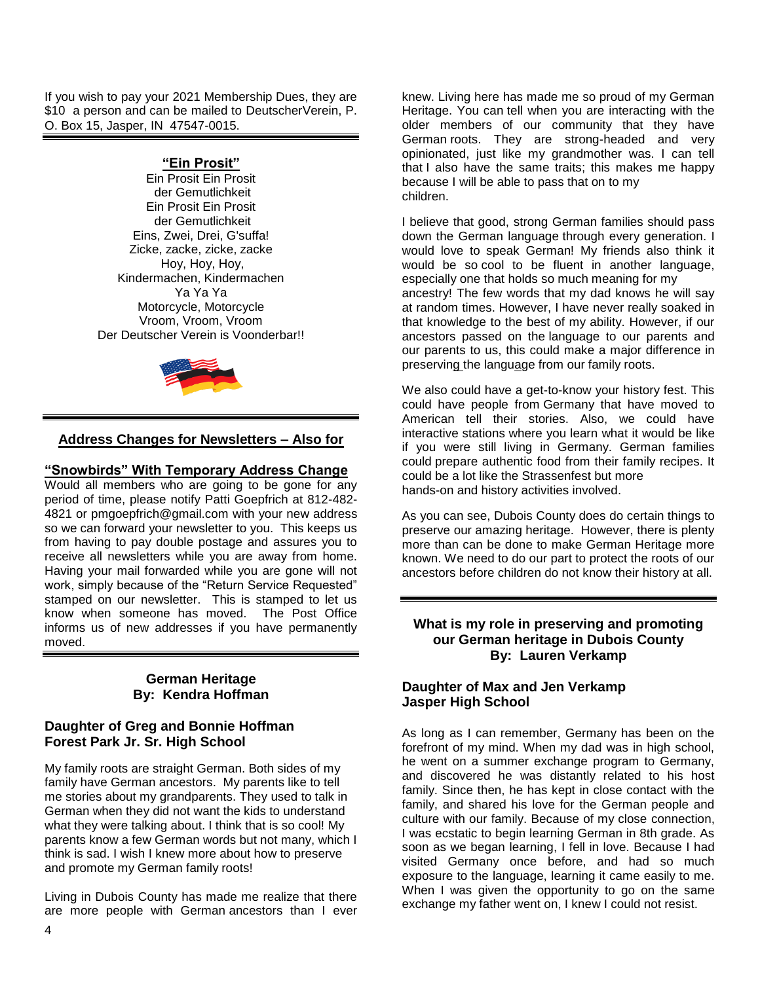If you wish to pay your 2021 Membership Dues, they are \$10 a person and can be mailed to DeutscherVerein, P. O. Box 15, Jasper, IN 47547-0015.

# **"Ein Prosit"**

Ein Prosit Ein Prosit der Gemutlichkeit Ein Prosit Ein Prosit der Gemutlichkeit Eins, Zwei, Drei, G'suffa! Zicke, zacke, zicke, zacke Hoy, Hoy, Hoy, Kindermachen, Kindermachen Ya Ya Ya Motorcycle, Motorcycle Vroom, Vroom, Vroom Der Deutscher Verein is Voonderbar!!



# **Address Changes for Newsletters – Also for**

#### **"Snowbirds" With Temporary Address Change**

Would all members who are going to be gone for any period of time, please notify Patti Goepfrich at 812-482- 4821 or pmgoepfrich@gmail.com with your new address so we can forward your newsletter to you. This keeps us from having to pay double postage and assures you to receive all newsletters while you are away from home. Having your mail forwarded while you are gone will not work, simply because of the "Return Service Requested" stamped on our newsletter. This is stamped to let us know when someone has moved. The Post Office informs us of new addresses if you have permanently moved.

#### **German Heritage By: Kendra Hoffman**

#### **Daughter of Greg and Bonnie Hoffman Forest Park Jr. Sr. High School**

My family roots are straight German. Both sides of my family have German ancestors. My parents like to tell me stories about my grandparents. They used to talk in German when they did not want the kids to understand what they were talking about. I think that is so cool! My parents know a few German words but not many, which I think is sad. I wish I knew more about how to preserve and promote my German family roots!

Living in Dubois County has made me realize that there are more people with German ancestors than I ever knew. Living here has made me so proud of my German Heritage. You can tell when you are interacting with the older members of our community that they have German roots. They are strong-headed and very opinionated, just like my grandmother was. I can tell that I also have the same traits; this makes me happy because I will be able to pass that on to my children.

I believe that good, strong German families should pass down the German language through every generation. I would love to speak German! My friends also think it would be so cool to be fluent in another language, especially one that holds so much meaning for my ancestry! The few words that my dad knows he will say at random times. However, I have never really soaked in that knowledge to the best of my ability. However, if our ancestors passed on the language to our parents and our parents to us, this could make a major difference in preserving the language from our family roots.

We also could have a get-to-know your history fest. This could have people from Germany that have moved to American tell their stories. Also, we could have interactive stations where you learn what it would be like if you were still living in Germany. German families could prepare authentic food from their family recipes. It could be a lot like the Strassenfest but more hands-on and history activities involved.

As you can see, Dubois County does do certain things to preserve our amazing heritage. However, there is plenty more than can be done to make German Heritage more known. We need to do our part to protect the roots of our ancestors before children do not know their history at all.

#### **What is my role in preserving and promoting our German heritage in Dubois County By: Lauren Verkamp**

# **Daughter of Max and Jen Verkamp Jasper High School**

As long as I can remember, Germany has been on the forefront of my mind. When my dad was in high school, he went on a summer exchange program to Germany, and discovered he was distantly related to his host family. Since then, he has kept in close contact with the family, and shared his love for the German people and culture with our family. Because of my close connection, I was ecstatic to begin learning German in 8th grade. As soon as we began learning, I fell in love. Because I had visited Germany once before, and had so much exposure to the language, learning it came easily to me. When I was given the opportunity to go on the same exchange my father went on, I knew I could not resist.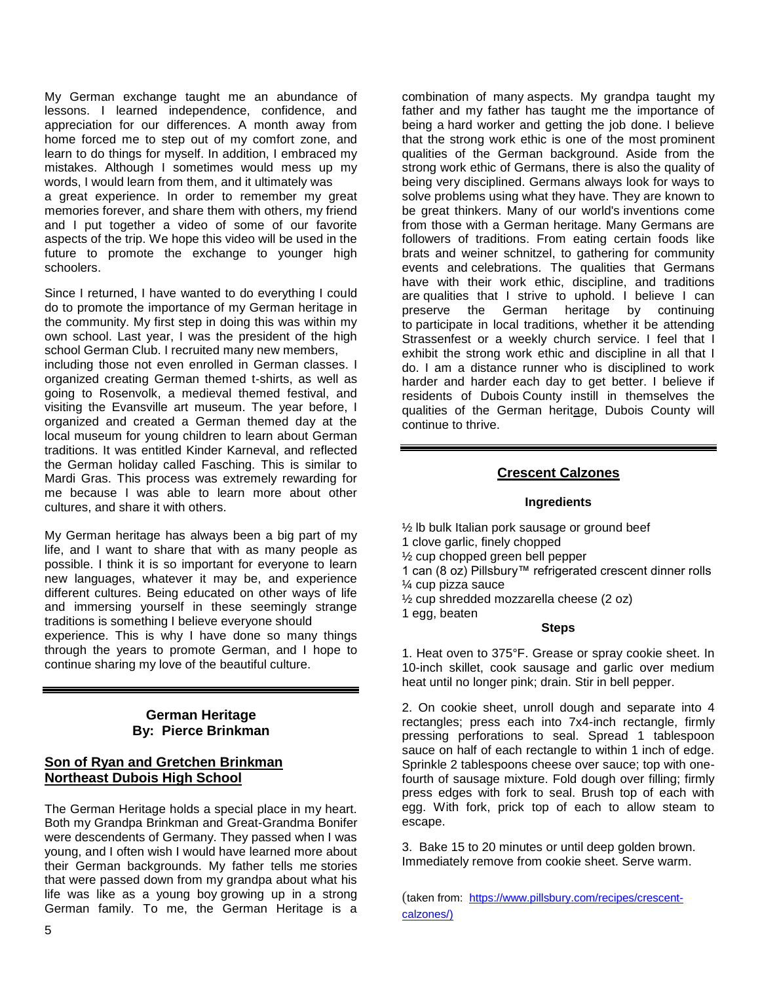My German exchange taught me an abundance of lessons. I learned independence, confidence, and appreciation for our differences. A month away from home forced me to step out of my comfort zone, and learn to do things for myself. In addition, I embraced my mistakes. Although I sometimes would mess up my words, I would learn from them, and it ultimately was a great experience. In order to remember my great memories forever, and share them with others, my friend and I put together a video of some of our favorite aspects of the trip. We hope this video will be used in the future to promote the exchange to younger high schoolers.

Since I returned, I have wanted to do everything I could do to promote the importance of my German heritage in the community. My first step in doing this was within my own school. Last year, I was the president of the high school German Club. I recruited many new members,

including those not even enrolled in German classes. I organized creating German themed t-shirts, as well as going to Rosenvolk, a medieval themed festival, and visiting the Evansville art museum. The year before, I organized and created a German themed day at the local museum for young children to learn about German traditions. It was entitled Kinder Karneval, and reflected the German holiday called Fasching. This is similar to Mardi Gras. This process was extremely rewarding for me because I was able to learn more about other cultures, and share it with others.

My German heritage has always been a big part of my life, and I want to share that with as many people as possible. I think it is so important for everyone to learn new languages, whatever it may be, and experience different cultures. Being educated on other ways of life and immersing yourself in these seemingly strange traditions is something I believe everyone should experience. This is why I have done so many things through the years to promote German, and I hope to continue sharing my love of the beautiful culture.

#### **German Heritage By: Pierce Brinkman**

#### **Son of Ryan and Gretchen Brinkman Northeast Dubois High School**

The German Heritage holds a special place in my heart. Both my Grandpa Brinkman and Great-Grandma Bonifer were descendents of Germany. They passed when I was young, and I often wish I would have learned more about their German backgrounds. My father tells me stories that were passed down from my grandpa about what his life was like as a young boy growing up in a strong German family. To me, the German Heritage is a

combination of many aspects. My grandpa taught my father and my father has taught me the importance of being a hard worker and getting the job done. I believe that the strong work ethic is one of the most prominent qualities of the German background. Aside from the strong work ethic of Germans, there is also the quality of being very disciplined. Germans always look for ways to solve problems using what they have. They are known to be great thinkers. Many of our world's inventions come from those with a German heritage. Many Germans are followers of traditions. From eating certain foods like brats and weiner schnitzel, to gathering for community events and celebrations. The qualities that Germans have with their work ethic, discipline, and traditions are qualities that I strive to uphold. I believe I can preserve the German heritage by continuing to participate in local traditions, whether it be attending Strassenfest or a weekly church service. I feel that I exhibit the strong work ethic and discipline in all that I do. I am a distance runner who is disciplined to work harder and harder each day to get better. I believe if residents of Dubois County instill in themselves the qualities of the German heritage, Dubois County will continue to thrive.

#### **Crescent Calzones**

#### **Ingredients**

½ lb bulk Italian pork sausage or ground beef 1 clove garlic, finely chopped ½ cup chopped green bell pepper 1 can (8 oz) Pillsbury™ refrigerated crescent dinner rolls ¼ cup pizza sauce ½ cup shredded mozzarella cheese (2 oz) 1 egg, beaten

#### **Steps**

1. Heat oven to 375°F. Grease or spray cookie sheet. In 10-inch skillet, cook sausage and garlic over medium heat until no longer pink; drain. Stir in bell pepper.

2. On cookie sheet, unroll dough and separate into 4 rectangles; press each into 7x4-inch rectangle, firmly pressing perforations to seal. Spread 1 tablespoon sauce on half of each rectangle to within 1 inch of edge. Sprinkle 2 tablespoons cheese over sauce; top with onefourth of sausage mixture. Fold dough over filling; firmly press edges with fork to seal. Brush top of each with egg. With fork, prick top of each to allow steam to escape.

3. Bake 15 to 20 minutes or until deep golden brown. [Immediately remove from cookie sheet. Serve warm.](https://www.pillsbury.com/recipes/crescent-calzones/1a5c9b84-60fb-4689-bb02-d8cd23a2882b?utm_source=facebook&utm_medium=social_organic&utm_campaign=msp_xx&mktgimp=pbrbgcrescnt&p=1&position=RDPToolbarRAIL.Print#reviewDiv)

(taken from: [https://www.pillsbury.com/recipes/crescent](https://www.pillsbury.com/recipes/crescent-calzones/)[calzones/\)](https://www.pillsbury.com/recipes/crescent-calzones/)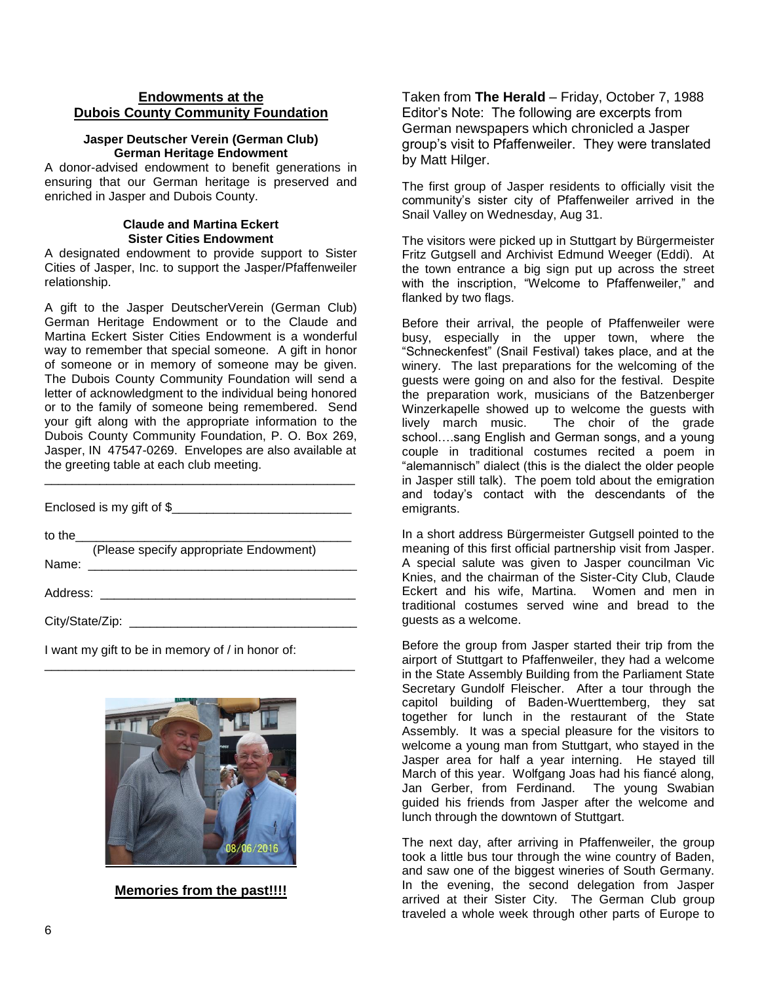#### **Endowments at the Dubois County Community Foundation**

#### **Jasper Deutscher Verein (German Club) German Heritage Endowment**

A donor-advised endowment to benefit generations in ensuring that our German heritage is preserved and enriched in Jasper and Dubois County.

#### **Claude and Martina Eckert Sister Cities Endowment**

A designated endowment to provide support to Sister Cities of Jasper, Inc. to support the Jasper/Pfaffenweiler relationship.

A gift to the Jasper DeutscherVerein (German Club) German Heritage Endowment or to the Claude and Martina Eckert Sister Cities Endowment is a wonderful way to remember that special someone. A gift in honor of someone or in memory of someone may be given. The Dubois County Community Foundation will send a letter of acknowledgment to the individual being honored or to the family of someone being remembered. Send your gift along with the appropriate information to the Dubois County Community Foundation, P. O. Box 269, Jasper, IN 47547-0269. Envelopes are also available at the greeting table at each club meeting.

| Enclosed is my gift of \$                       |
|-------------------------------------------------|
| to the $\qquad \qquad$                          |
| (Please specify appropriate Endowment)<br>Name: |
| Address: _________________                      |
| City/State/Zip:                                 |

\_\_\_\_\_\_\_\_\_\_\_\_\_\_\_\_\_\_\_\_\_\_\_\_\_\_\_\_\_\_\_\_\_\_\_\_\_\_\_\_\_\_\_\_\_

\_\_\_\_\_\_\_\_\_\_\_\_\_\_\_\_\_\_\_\_\_\_\_\_\_\_\_\_\_\_\_\_\_\_\_\_\_\_\_\_\_\_\_\_\_

I want my gift to be in memory of / in honor of:



**Memories from the past!!!!**

Taken from **The Herald** – Friday, October 7, 1988 Editor's Note: The following are excerpts from German newspapers which chronicled a Jasper group's visit to Pfaffenweiler. They were translated by Matt Hilger.

The first group of Jasper residents to officially visit the community's sister city of Pfaffenweiler arrived in the Snail Valley on Wednesday, Aug 31.

The visitors were picked up in Stuttgart by Bürgermeister Fritz Gutgsell and Archivist Edmund Weeger (Eddi). At the town entrance a big sign put up across the street with the inscription, "Welcome to Pfaffenweiler," and flanked by two flags.

Before their arrival, the people of Pfaffenweiler were busy, especially in the upper town, where the "Schneckenfest" (Snail Festival) takes place, and at the winery. The last preparations for the welcoming of the guests were going on and also for the festival. Despite the preparation work, musicians of the Batzenberger Winzerkapelle showed up to welcome the guests with lively march music. The choir of the grade school….sang English and German songs, and a young couple in traditional costumes recited a poem in "alemannisch" dialect (this is the dialect the older people in Jasper still talk). The poem told about the emigration and today's contact with the descendants of the emigrants.

In a short address Bürgermeister Gutgsell pointed to the meaning of this first official partnership visit from Jasper. A special salute was given to Jasper councilman Vic Knies, and the chairman of the Sister-City Club, Claude Eckert and his wife, Martina. Women and men in traditional costumes served wine and bread to the guests as a welcome.

Before the group from Jasper started their trip from the airport of Stuttgart to Pfaffenweiler, they had a welcome in the State Assembly Building from the Parliament State Secretary Gundolf Fleischer. After a tour through the capitol building of Baden-Wuerttemberg, they sat together for lunch in the restaurant of the State Assembly. It was a special pleasure for the visitors to welcome a young man from Stuttgart, who stayed in the Jasper area for half a year interning. He stayed till March of this year. Wolfgang Joas had his fiancé along, Jan Gerber, from Ferdinand. The young Swabian guided his friends from Jasper after the welcome and lunch through the downtown of Stuttgart.

The next day, after arriving in Pfaffenweiler, the group took a little bus tour through the wine country of Baden, and saw one of the biggest wineries of South Germany. In the evening, the second delegation from Jasper arrived at their Sister City. The German Club group traveled a whole week through other parts of Europe to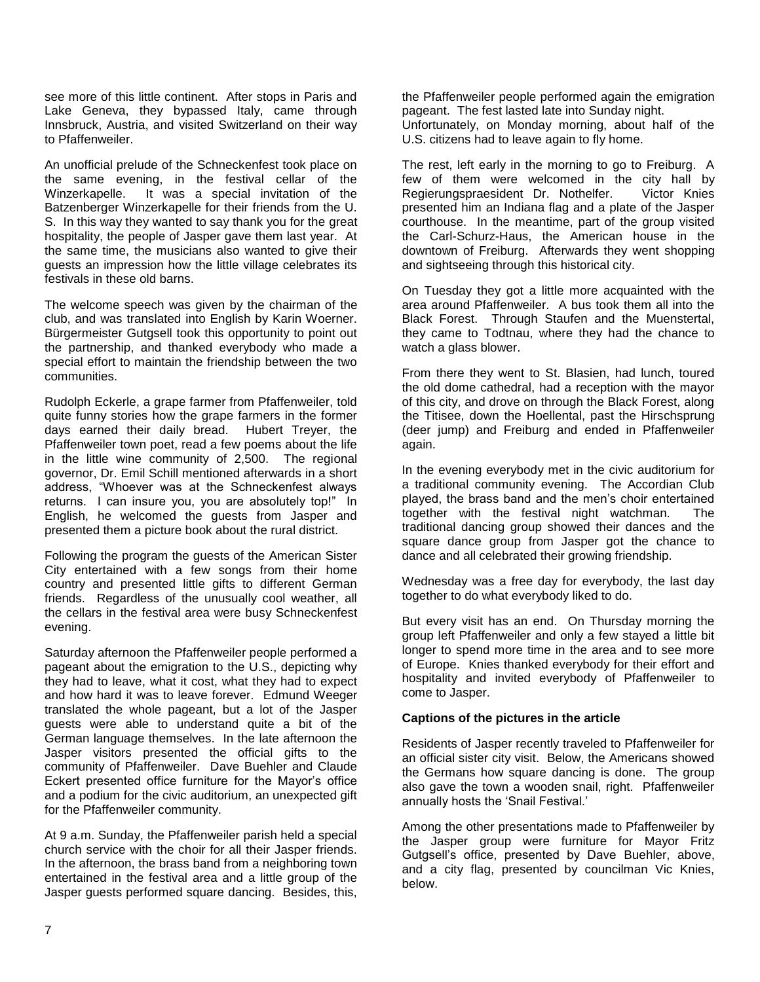see more of this little continent. After stops in Paris and Lake Geneva, they bypassed Italy, came through Innsbruck, Austria, and visited Switzerland on their way to Pfaffenweiler.

An unofficial prelude of the Schneckenfest took place on the same evening, in the festival cellar of the Winzerkapelle. It was a special invitation of the Batzenberger Winzerkapelle for their friends from the U. S. In this way they wanted to say thank you for the great hospitality, the people of Jasper gave them last year. At the same time, the musicians also wanted to give their guests an impression how the little village celebrates its festivals in these old barns.

The welcome speech was given by the chairman of the club, and was translated into English by Karin Woerner. Bürgermeister Gutgsell took this opportunity to point out the partnership, and thanked everybody who made a special effort to maintain the friendship between the two communities.

Rudolph Eckerle, a grape farmer from Pfaffenweiler, told quite funny stories how the grape farmers in the former days earned their daily bread. Hubert Treyer, the Pfaffenweiler town poet, read a few poems about the life in the little wine community of 2,500. The regional governor, Dr. Emil Schill mentioned afterwards in a short address, "Whoever was at the Schneckenfest always returns. I can insure you, you are absolutely top!" In English, he welcomed the guests from Jasper and presented them a picture book about the rural district.

Following the program the guests of the American Sister City entertained with a few songs from their home country and presented little gifts to different German friends. Regardless of the unusually cool weather, all the cellars in the festival area were busy Schneckenfest evening.

Saturday afternoon the Pfaffenweiler people performed a pageant about the emigration to the U.S., depicting why they had to leave, what it cost, what they had to expect and how hard it was to leave forever. Edmund Weeger translated the whole pageant, but a lot of the Jasper guests were able to understand quite a bit of the German language themselves. In the late afternoon the Jasper visitors presented the official gifts to the community of Pfaffenweiler. Dave Buehler and Claude Eckert presented office furniture for the Mayor's office and a podium for the civic auditorium, an unexpected gift for the Pfaffenweiler community.

At 9 a.m. Sunday, the Pfaffenweiler parish held a special church service with the choir for all their Jasper friends. In the afternoon, the brass band from a neighboring town entertained in the festival area and a little group of the Jasper guests performed square dancing. Besides, this,

the Pfaffenweiler people performed again the emigration pageant. The fest lasted late into Sunday night. Unfortunately, on Monday morning, about half of the U.S. citizens had to leave again to fly home.

The rest, left early in the morning to go to Freiburg. A few of them were welcomed in the city hall by Regierungspraesident Dr. Nothelfer. Victor Knies presented him an Indiana flag and a plate of the Jasper courthouse. In the meantime, part of the group visited the Carl-Schurz-Haus, the American house in the downtown of Freiburg. Afterwards they went shopping and sightseeing through this historical city.

On Tuesday they got a little more acquainted with the area around Pfaffenweiler. A bus took them all into the Black Forest. Through Staufen and the Muenstertal, they came to Todtnau, where they had the chance to watch a glass blower.

From there they went to St. Blasien, had lunch, toured the old dome cathedral, had a reception with the mayor of this city, and drove on through the Black Forest, along the Titisee, down the Hoellental, past the Hirschsprung (deer jump) and Freiburg and ended in Pfaffenweiler again.

In the evening everybody met in the civic auditorium for a traditional community evening. The Accordian Club played, the brass band and the men's choir entertained together with the festival night watchman. The traditional dancing group showed their dances and the square dance group from Jasper got the chance to dance and all celebrated their growing friendship.

Wednesday was a free day for everybody, the last day together to do what everybody liked to do.

But every visit has an end. On Thursday morning the group left Pfaffenweiler and only a few stayed a little bit longer to spend more time in the area and to see more of Europe. Knies thanked everybody for their effort and hospitality and invited everybody of Pfaffenweiler to come to Jasper.

## **Captions of the pictures in the article**

Residents of Jasper recently traveled to Pfaffenweiler for an official sister city visit. Below, the Americans showed the Germans how square dancing is done. The group also gave the town a wooden snail, right. Pfaffenweiler annually hosts the 'Snail Festival.'

Among the other presentations made to Pfaffenweiler by the Jasper group were furniture for Mayor Fritz Gutgsell's office, presented by Dave Buehler, above, and a city flag, presented by councilman Vic Knies, below.